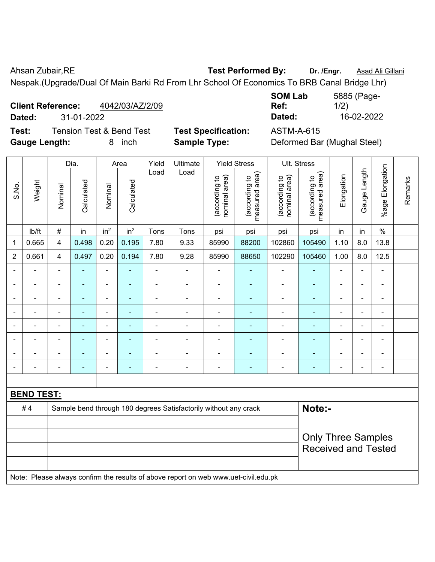Ahsan Zubair, RE **Test Performed By:** Dr. /Engr. **Asad Ali Gillani** 

Nespak.(Upgrade/Dual Of Main Barki Rd From Lhr School Of Economics To BRB Canal Bridge Lhr)

| <b>Client Reference:</b> | 4042/03/AZ/2/09 | Ref:   |            |
|--------------------------|-----------------|--------|------------|
| Dated:                   | 31-01-2022      | Dated: | 16-02-2022 |

**Test:** Tension Test & Bend Test **Test Specification:** ASTM-A-615 Gauge Length: **8** inch **Sample Type:** Definition

| <b>SOM Lab</b> | 5885 (Page- |
|----------------|-------------|
| Ref:           | 1/2)        |
| Dated:         | 16-02-2022  |

|  | Deformed Bar (Mughal Steel) |
|--|-----------------------------|
|--|-----------------------------|

|                |                   |                                                         | Dia.           |                                | Area                            | Yield                          | Ultimate                                                                            |                          | <b>Yield Stress</b> |                          | Ult. Stress    |                |                |                          |  |
|----------------|-------------------|---------------------------------------------------------|----------------|--------------------------------|---------------------------------|--------------------------------|-------------------------------------------------------------------------------------|--------------------------|---------------------|--------------------------|----------------|----------------|----------------|--------------------------|--|
| S.No.          | Weight            | Load<br>Calculated<br>Calculated<br>Nominal<br>Nominal  | Load           | nominal area)<br>(according to | (according to<br>measured area) | nominal area)<br>(according to | (according to<br>measured area)                                                     | Elongation               | Gauge Length        | %age Elongation          | Remarks        |                |                |                          |  |
|                | lb/ft             | $\#$                                                    | in             | in <sup>2</sup>                | in <sup>2</sup>                 | Tons                           | Tons                                                                                | psi                      | psi                 | psi                      | psi            | in             | in             | $\%$                     |  |
| $\mathbf 1$    | 0.665             | 4                                                       | 0.498          | 0.20                           | 0.195                           | 7.80                           | 9.33                                                                                | 85990                    | 88200               | 102860                   | 105490         | 1.10           | 8.0            | 13.8                     |  |
| $\overline{2}$ | 0.661             | 4                                                       | 0.497          | 0.20                           | 0.194                           | 7.80                           | 9.28                                                                                | 85990                    | 88650               | 102290                   | 105460         | 1.00           | 8.0            | 12.5                     |  |
| $\blacksquare$ | $\blacksquare$    | $\blacksquare$                                          | $\blacksquare$ | $\blacksquare$                 | ÷                               | $\blacksquare$                 | $\blacksquare$                                                                      | $\overline{\phantom{a}}$ | $\blacksquare$      | $\blacksquare$           | $\blacksquare$ | $\blacksquare$ | ÷,             | $\overline{\phantom{a}}$ |  |
|                | $\blacksquare$    | L,                                                      | ä,             | ÷,                             | $\blacksquare$                  | $\blacksquare$                 | $\blacksquare$                                                                      | $\overline{\phantom{a}}$ | ÷                   | $\blacksquare$           | ÷,             | $\blacksquare$ | ÷,             | $\blacksquare$           |  |
|                | $\blacksquare$    | Ē,                                                      | ä,             | ۰                              | ۰                               | $\blacksquare$                 | $\blacksquare$                                                                      | $\blacksquare$           | ÷                   | $\blacksquare$           | $\blacksquare$ | $\blacksquare$ | ä,             | $\blacksquare$           |  |
|                |                   | ٠                                                       |                | $\blacksquare$                 |                                 |                                |                                                                                     | $\blacksquare$           | $\blacksquare$      | $\blacksquare$           |                |                |                | $\blacksquare$           |  |
|                |                   |                                                         |                | $\blacksquare$                 |                                 |                                |                                                                                     | $\overline{a}$           | $\blacksquare$      | $\blacksquare$           | $\blacksquare$ |                |                | $\blacksquare$           |  |
|                |                   | $\blacksquare$                                          | $\blacksquare$ | ۰                              | ۰                               |                                |                                                                                     | $\blacksquare$           | ÷                   | $\blacksquare$           |                | -              | $\blacksquare$ | $\blacksquare$           |  |
|                |                   |                                                         | $\blacksquare$ | ÷                              |                                 |                                |                                                                                     | $\overline{a}$           | $\blacksquare$      | $\blacksquare$           | $\blacksquare$ | $\blacksquare$ | $\blacksquare$ | $\overline{\phantom{a}}$ |  |
| $\blacksquare$ |                   | $\blacksquare$                                          | $\blacksquare$ | $\overline{a}$                 | ۰                               | $\blacksquare$                 | $\blacksquare$                                                                      | $\blacksquare$           | ٠                   | $\overline{\phantom{0}}$ | ٠              | $\blacksquare$ | $\blacksquare$ | $\blacksquare$           |  |
|                |                   |                                                         |                |                                |                                 |                                |                                                                                     |                          |                     |                          |                |                |                |                          |  |
|                | <b>BEND TEST:</b> |                                                         |                |                                |                                 |                                |                                                                                     |                          |                     |                          |                |                |                |                          |  |
|                | #4                |                                                         |                |                                |                                 |                                | Sample bend through 180 degrees Satisfactorily without any crack                    |                          |                     |                          | Note:-         |                |                |                          |  |
|                |                   |                                                         |                |                                |                                 |                                |                                                                                     |                          |                     |                          |                |                |                |                          |  |
|                |                   | <b>Only Three Samples</b><br><b>Received and Tested</b> |                |                                |                                 |                                |                                                                                     |                          |                     |                          |                |                |                |                          |  |
|                |                   |                                                         |                |                                |                                 |                                | Note: Please always confirm the results of above report on web www.uet-civil.edu.pk |                          |                     |                          |                |                |                |                          |  |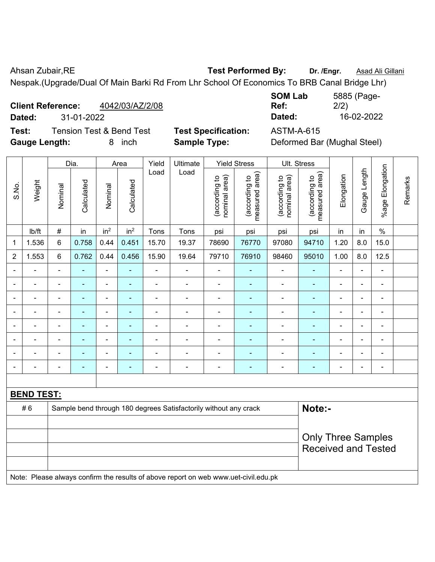Ahsan Zubair, RE **Test Performed By:** Dr. /Engr. **Asad Ali Gillani** 

Nespak.(Upgrade/Dual Of Main Barki Rd From Lhr School Of Economics To BRB Canal Bridge Lhr)

| <b>Client Reference:</b> | 4042/03/AZ/2/08 | Ref:   | __<br>2/2) |
|--------------------------|-----------------|--------|------------|
| Dated:                   | 31-01-2022      | Dated: | 16-02-2022 |

**Test:** Tension Test & Bend Test **Test Specification:** ASTM-A-615 Gauge Length: **8** inch **Sample Type:** 

| <b>SOM Lab</b> | 5885 (Page- |
|----------------|-------------|
| Ref:           | 2/2)        |
| Dated:         | 16-02-2022  |

|  | Deformed Bar (Mughal Steel) |
|--|-----------------------------|
|--|-----------------------------|

|                          |                   |                | Dia.                     |                          | Area                     | Yield          | Ultimate                                                                            |                                | <b>Yield Stress</b>             |                                | Ult. Stress                     |                |                |                 |         |
|--------------------------|-------------------|----------------|--------------------------|--------------------------|--------------------------|----------------|-------------------------------------------------------------------------------------|--------------------------------|---------------------------------|--------------------------------|---------------------------------|----------------|----------------|-----------------|---------|
| S.No.                    | Weight            | Nominal        | Calculated               | Nominal                  | Calculated               | Load           | Load                                                                                | nominal area)<br>(according to | (according to<br>measured area) | nominal area)<br>(according to | measured area)<br>(according to | Elongation     | Gauge Length   | %age Elongation | Remarks |
|                          | Ib/ft             | $\#$           | in                       | in <sup>2</sup>          | in <sup>2</sup>          | Tons           | Tons                                                                                | psi                            | psi                             | psi                            | psi                             | in             | in             | $\%$            |         |
| 1                        | 1.536             | 6              | 0.758                    | 0.44                     | 0.451                    | 15.70          | 19.37                                                                               | 78690                          | 76770                           | 97080                          | 94710                           | 1.20           | 8.0            | 15.0            |         |
| $\overline{2}$           | 1.553             | 6              | 0.762                    | 0.44                     | 0.456                    | 15.90          | 19.64                                                                               | 79710                          | 76910                           | 98460                          | 95010                           | 1.00           | 8.0            | 12.5            |         |
| $\blacksquare$           | $\blacksquare$    | $\blacksquare$ | $\blacksquare$           | $\blacksquare$           | $\overline{\phantom{a}}$ | ä,             | ä,                                                                                  | ÷,                             | $\overline{\phantom{a}}$        | $\qquad \qquad \blacksquare$   | $\blacksquare$                  | $\blacksquare$ | $\blacksquare$ | $\blacksquare$  |         |
| $\blacksquare$           | $\blacksquare$    | $\blacksquare$ | $\blacksquare$           | $\overline{\phantom{a}}$ | $\overline{\phantom{a}}$ | $\blacksquare$ | $\blacksquare$                                                                      | $\blacksquare$                 | $\blacksquare$                  | $\qquad \qquad \blacksquare$   | $\blacksquare$                  | $\blacksquare$ | ä,             | $\blacksquare$  |         |
| $\blacksquare$           | $\blacksquare$    | $\blacksquare$ | $\blacksquare$           | $\blacksquare$           | $\overline{\phantom{a}}$ | $\blacksquare$ | $\blacksquare$                                                                      | ÷,                             | $\blacksquare$                  | ÷                              | $\blacksquare$                  | $\blacksquare$ | $\blacksquare$ | ä,              |         |
|                          |                   | $\blacksquare$ | ä,                       | $\blacksquare$           |                          |                | ä,                                                                                  | $\blacksquare$                 | ÷,                              | ä,                             | $\blacksquare$                  |                |                | $\blacksquare$  |         |
|                          |                   | $\blacksquare$ | $\overline{\phantom{0}}$ | $\overline{\phantom{a}}$ |                          | ÷              | $\blacksquare$                                                                      | $\blacksquare$                 | $\blacksquare$                  | ÷                              | $\blacksquare$                  |                |                | $\blacksquare$  |         |
|                          |                   | $\blacksquare$ |                          | ÷                        |                          |                | Ē,                                                                                  | Ē,                             | $\blacksquare$                  | Ē,                             | Ē,                              | ۰              | $\blacksquare$ | $\blacksquare$  |         |
| $\overline{\phantom{a}}$ |                   | $\blacksquare$ |                          | $\overline{a}$           |                          |                | $\blacksquare$                                                                      | ÷                              | ۰                               | ÷                              | ÷,                              | ۰              | ÷              | $\blacksquare$  |         |
| $\blacksquare$           |                   | $\blacksquare$ | $\blacksquare$           | $\blacksquare$           | $\overline{a}$           |                | $\overline{\phantom{a}}$                                                            | $\blacksquare$                 | $\overline{\phantom{a}}$        | $\blacksquare$                 | $\blacksquare$                  | $\blacksquare$ | $\blacksquare$ | $\blacksquare$  |         |
|                          |                   |                |                          |                          |                          |                |                                                                                     |                                |                                 |                                |                                 |                |                |                 |         |
|                          | <b>BEND TEST:</b> |                |                          |                          |                          |                |                                                                                     |                                |                                 |                                |                                 |                |                |                 |         |
|                          | #6                |                |                          |                          |                          |                | Sample bend through 180 degrees Satisfactorily without any crack                    |                                |                                 |                                | Note:-                          |                |                |                 |         |
|                          |                   |                |                          |                          |                          |                |                                                                                     |                                |                                 |                                |                                 |                |                |                 |         |
|                          |                   |                |                          |                          |                          |                |                                                                                     |                                |                                 |                                | <b>Only Three Samples</b>       |                |                |                 |         |
|                          |                   |                |                          |                          |                          |                |                                                                                     |                                |                                 |                                | <b>Received and Tested</b>      |                |                |                 |         |
|                          |                   |                |                          |                          |                          |                |                                                                                     |                                |                                 |                                |                                 |                |                |                 |         |
|                          |                   |                |                          |                          |                          |                | Note: Please always confirm the results of above report on web www.uet-civil.edu.pk |                                |                                 |                                |                                 |                |                |                 |         |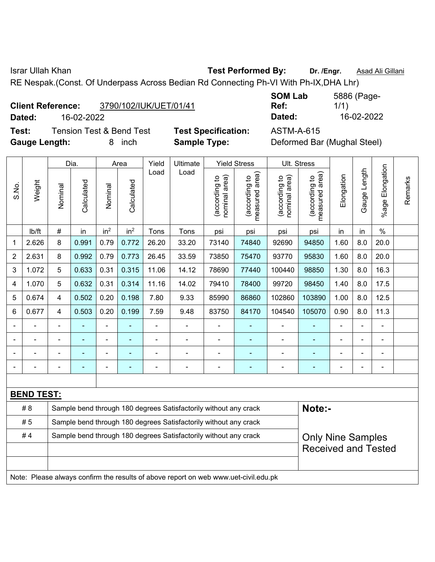Israr Ullah Khan **Test Performed By: Dr. /Engr.** Asad Ali Gillani

RE Nespak.(Const. Of Underpass Across Bedian Rd Connecting Ph-VI With Ph-IX,DHA Lhr)

| <b>Client Reference:</b> | 3790/102/IUK/UET/01/41 |
|--------------------------|------------------------|
|                          |                        |

**Test:** Tension Test & Bend Test **Test Specification:** ASTM-A-615 **Gauge Length:** 8 inch **Sample Type:** Deformed Bar (Mughal Steel)

**SOM Lab Ref:**  5886 (Page-1/1) **Dated:** 16-02-2022 **Dated:** 16-02-2022

|                |                   |         | Dia.       |                 | Area            | Yield          | Ultimate                                                                            |                                | <b>Yield Stress</b>             | Ult. Stress                    |                                 |                            |                   |                 |         |
|----------------|-------------------|---------|------------|-----------------|-----------------|----------------|-------------------------------------------------------------------------------------|--------------------------------|---------------------------------|--------------------------------|---------------------------------|----------------------------|-------------------|-----------------|---------|
| S.No.          | Weight            | Nominal | Calculated | Nominal         | Calculated      | Load           | Load                                                                                | nominal area)<br>(according to | measured area)<br>(according to | nominal area)<br>(according to | measured area)<br>(according to | Elongation                 | Length<br>Gauge I | %age Elongation | Remarks |
|                | lb/ft             | $\#$    | in         | in <sup>2</sup> | in <sup>2</sup> | Tons           | Tons                                                                                | psi                            | psi                             | psi                            | psi                             | in                         | in                | $\%$            |         |
| 1              | 2.626             | 8       | 0.991      | 0.79            | 0.772           | 26.20          | 33.20                                                                               | 73140                          | 74840                           | 92690                          | 94850                           | 1.60                       | 8.0               | 20.0            |         |
| $\overline{2}$ | 2.631             | 8       | 0.992      | 0.79            | 0.773           | 26.45          | 33.59                                                                               | 73850                          | 75470                           | 93770                          | 95830                           | 1.60                       | 8.0               | 20.0            |         |
| 3              | 1.072             | 5       | 0.633      | 0.31            | 0.315           | 11.06          | 14.12                                                                               | 78690                          | 77440                           | 100440                         | 98850                           | 1.30                       | 8.0               | 16.3            |         |
| 4              | 1.070             | 5       | 0.632      | 0.31            | 0.314           | 11.16          | 14.02                                                                               | 79410                          | 78400                           | 99720                          | 98450                           | 1.40                       | 8.0               | 17.5            |         |
| 5              | 0.674             | 4       | 0.502      | 0.20            | 0.198           | 7.80           | 9.33                                                                                | 85990                          | 86860                           | 102860                         | 103890                          | 1.00                       | 8.0               | 12.5            |         |
| 6              | 0.677             | 4       | 0.503      | 0.20            | 0.199           | 7.59           | 9.48                                                                                | 83750                          | 84170                           | 104540                         | 105070                          | 0.90                       | 8.0               | 11.3            |         |
|                |                   |         |            | ÷               |                 |                |                                                                                     | $\blacksquare$                 | ۰                               |                                |                                 |                            |                   | $\blacksquare$  |         |
|                |                   |         |            | $\blacksquare$  |                 |                |                                                                                     | $\blacksquare$                 | ۳                               |                                |                                 |                            |                   | $\blacksquare$  |         |
|                |                   |         | -          | -               | ÷               |                | $\blacksquare$                                                                      | $\overline{a}$                 | ۰                               | $\blacksquare$                 | Ē.                              |                            | $\blacksquare$    | $\blacksquare$  |         |
|                |                   | ٠       | L,         | ä,              | L,              | $\blacksquare$ | $\blacksquare$                                                                      | $\blacksquare$                 | ۰                               | $\blacksquare$                 | $\overline{\phantom{0}}$        | $\blacksquare$             | L,                | $\blacksquare$  |         |
|                |                   |         |            |                 |                 |                |                                                                                     |                                |                                 |                                |                                 |                            |                   |                 |         |
|                | <b>BEND TEST:</b> |         |            |                 |                 |                |                                                                                     |                                |                                 |                                |                                 |                            |                   |                 |         |
|                | #8                |         |            |                 |                 |                | Sample bend through 180 degrees Satisfactorily without any crack                    |                                |                                 |                                | Note:-                          |                            |                   |                 |         |
|                | #5                |         |            |                 |                 |                | Sample bend through 180 degrees Satisfactorily without any crack                    |                                |                                 |                                |                                 |                            |                   |                 |         |
|                | #4                |         |            |                 |                 |                | Sample bend through 180 degrees Satisfactorily without any crack                    |                                |                                 |                                | <b>Only Nine Samples</b>        |                            |                   |                 |         |
|                |                   |         |            |                 |                 |                |                                                                                     |                                |                                 |                                |                                 | <b>Received and Tested</b> |                   |                 |         |
|                |                   |         |            |                 |                 |                |                                                                                     |                                |                                 |                                |                                 |                            |                   |                 |         |
|                |                   |         |            |                 |                 |                | Note: Please always confirm the results of above report on web www.uet-civil.edu.pk |                                |                                 |                                |                                 |                            |                   |                 |         |